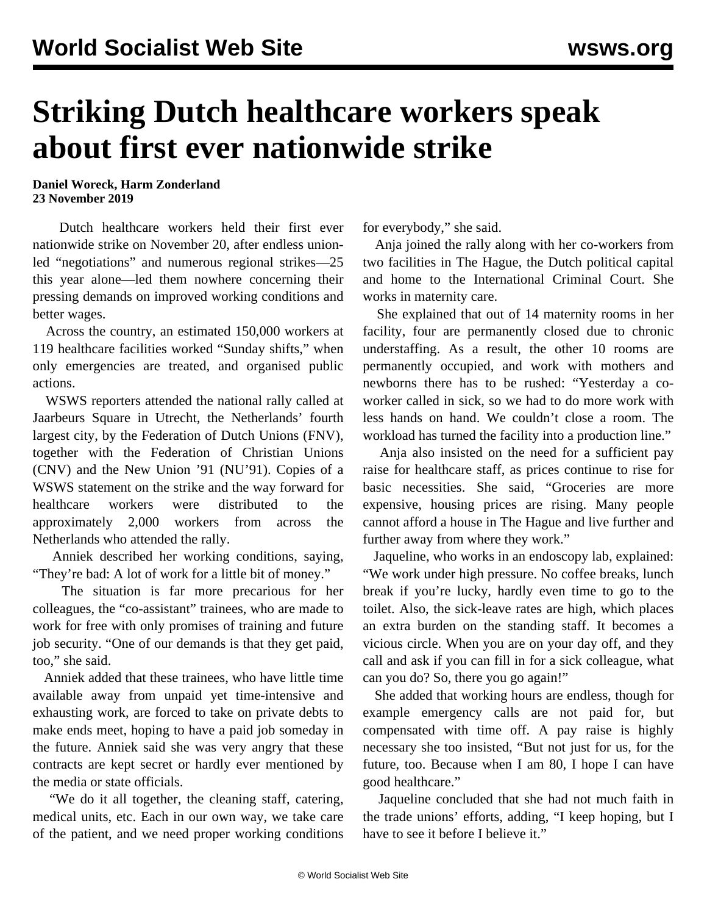## **Striking Dutch healthcare workers speak about first ever nationwide strike**

**Daniel Woreck, Harm Zonderland 23 November 2019**

 Dutch healthcare workers held their first ever nationwide strike on November 20, after endless unionled "negotiations" and numerous regional strikes—25 this year alone—led them nowhere concerning their pressing demands on improved working conditions and better wages.

 Across the country, an estimated 150,000 workers at 119 healthcare facilities worked "Sunday shifts," when only emergencies are treated, and organised public actions.

 WSWS reporters attended the national rally called at Jaarbeurs Square in Utrecht, the Netherlands' fourth largest city, by the Federation of Dutch Unions (FNV), together with the Federation of Christian Unions (CNV) and the New Union '91 (NU'91). Copies of a WSWS [statement](/en/articles/2019/11/20/neth-n20.html) on the strike and the way forward for healthcare workers were distributed to the approximately 2,000 workers from across the Netherlands who attended the rally.

 Anniek described her working conditions, saying, "They're bad: A lot of work for a little bit of money."

 The situation is far more precarious for her colleagues, the "co-assistant" trainees, who are made to work for free with only promises of training and future job security. "One of our demands is that they get paid, too," she said.

 Anniek added that these trainees, who have little time available away from unpaid yet time-intensive and exhausting work, are forced to take on private debts to make ends meet, hoping to have a paid job someday in the future. Anniek said she was very angry that these contracts are kept secret or hardly ever mentioned by the media or state officials.

 "We do it all together, the cleaning staff, catering, medical units, etc. Each in our own way, we take care of the patient, and we need proper working conditions for everybody," she said.

 Anja joined the rally along with her co-workers from two facilities in The Hague, the Dutch political capital and home to the International Criminal Court. She works in maternity care.

 She explained that out of 14 maternity rooms in her facility, four are permanently closed due to chronic understaffing. As a result, the other 10 rooms are permanently occupied, and work with mothers and newborns there has to be rushed: "Yesterday a coworker called in sick, so we had to do more work with less hands on hand. We couldn't close a room. The workload has turned the facility into a production line."

 Anja also insisted on the need for a sufficient pay raise for healthcare staff, as prices continue to rise for basic necessities. She said, "Groceries are more expensive, housing prices are rising. Many people cannot afford a house in The Hague and live further and further away from where they work."

 Jaqueline, who works in an endoscopy lab, explained: "We work under high pressure. No coffee breaks, lunch break if you're lucky, hardly even time to go to the toilet. Also, the sick-leave rates are high, which places an extra burden on the standing staff. It becomes a vicious circle. When you are on your day off, and they call and ask if you can fill in for a sick colleague, what can you do? So, there you go again!"

 She added that working hours are endless, though for example emergency calls are not paid for, but compensated with time off. A pay raise is highly necessary she too insisted, "But not just for us, for the future, too. Because when I am 80, I hope I can have good healthcare."

 Jaqueline concluded that she had not much faith in the trade unions' efforts, adding, "I keep hoping, but I have to see it before I believe it."